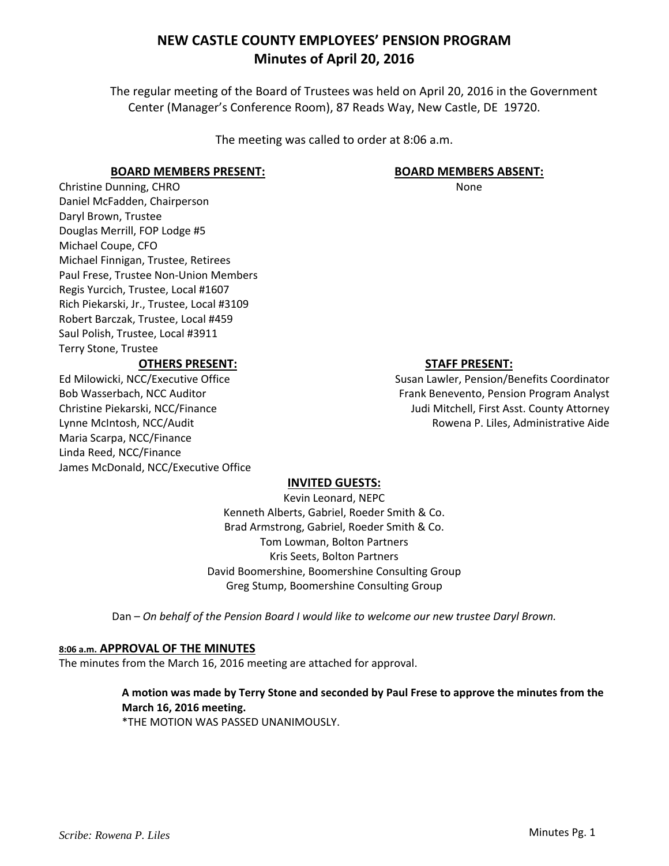The regular meeting of the Board of Trustees was held on April 20, 2016 in the Government Center (Manager's Conference Room), 87 Reads Way, New Castle, DE 19720.

The meeting was called to order at 8:06 a.m.

### **BOARD MEMBERS PRESENT:**

Christine Dunning, CHRO Daniel McFadden, Chairperson Daryl Brown, Trustee Douglas Merrill, FOP Lodge #5 Michael Coupe, CFO Michael Finnigan, Trustee, Retirees Paul Frese, Trustee Non‐Union Members Regis Yurcich, Trustee, Local #1607 Rich Piekarski, Jr., Trustee, Local #3109 Robert Barczak, Trustee, Local #459 Saul Polish, Trustee, Local #3911 Terry Stone, Trustee

### **OTHERS PRESENT:**

Ed Milowicki, NCC/Executive Office Bob Wasserbach, NCC Auditor Christine Piekarski, NCC/Finance Lynne McIntosh, NCC/Audit Maria Scarpa, NCC/Finance Linda Reed, NCC/Finance James McDonald, NCC/Executive Office

### **BOARD MEMBERS ABSENT:**

None

## **STAFF PRESENT:**

Susan Lawler, Pension/Benefits Coordinator Frank Benevento, Pension Program Analyst Judi Mitchell, First Asst. County Attorney Rowena P. Liles, Administrative Aide

### **INVITED GUESTS:**

Kevin Leonard, NEPC Kenneth Alberts, Gabriel, Roeder Smith & Co. Brad Armstrong, Gabriel, Roeder Smith & Co. Tom Lowman, Bolton Partners Kris Seets, Bolton Partners David Boomershine, Boomershine Consulting Group Greg Stump, Boomershine Consulting Group

Dan – *On behalf of the Pension Board I would like to welcome our new trustee Daryl Brown.*

### **8:06 a.m. APPROVAL OF THE MINUTES**

The minutes from the March 16, 2016 meeting are attached for approval.

## **A motion was made by Terry Stone and seconded by Paul Frese to approve the minutes from the March 16, 2016 meeting.**

\*THE MOTION WAS PASSED UNANIMOUSLY.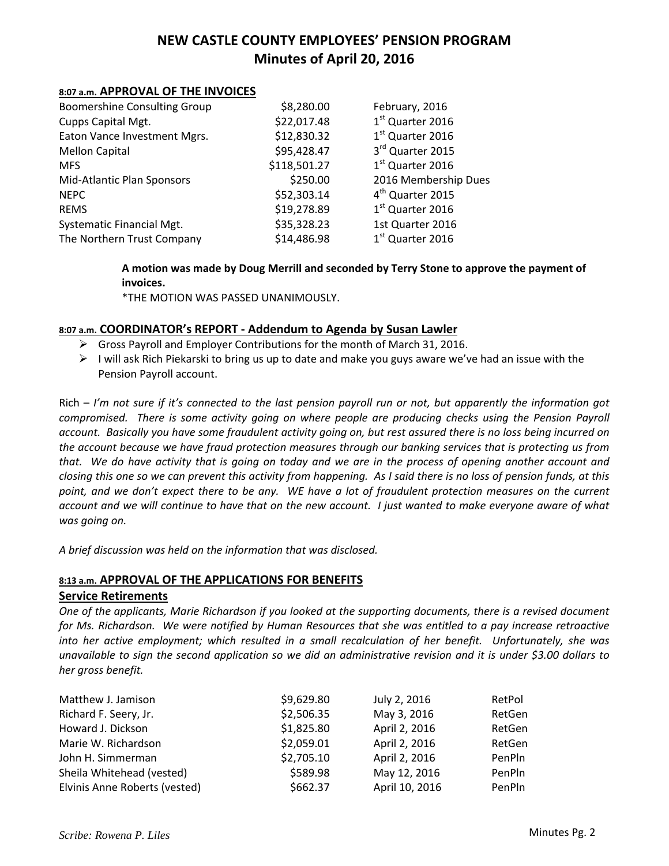#### **8:07 a.m. APPROVAL OF THE INVOICES**

| <b>Boomershine Consulting Group</b> | \$8,280.00   | February, 2016               |
|-------------------------------------|--------------|------------------------------|
| Cupps Capital Mgt.                  | \$22,017.48  | 1st Quarter 2016             |
| Eaton Vance Investment Mgrs.        | \$12,830.32  | 1 <sup>st</sup> Quarter 2016 |
| <b>Mellon Capital</b>               | \$95,428.47  | 3rd Quarter 2015             |
| <b>MFS</b>                          | \$118,501.27 | 1 <sup>st</sup> Quarter 2016 |
| Mid-Atlantic Plan Sponsors          | \$250.00     | 2016 Membership Dues         |
| <b>NEPC</b>                         | \$52,303.14  | 4 <sup>th</sup> Quarter 2015 |
| <b>REMS</b>                         | \$19,278.89  | 1 <sup>st</sup> Quarter 2016 |
| <b>Systematic Financial Mgt.</b>    | \$35,328.23  | 1st Quarter 2016             |
| The Northern Trust Company          | \$14,486.98  | 1 <sup>st</sup> Quarter 2016 |

**A motion was made by Doug Merrill and seconded by Terry Stone to approve the payment of invoices.**

\*THE MOTION WAS PASSED UNANIMOUSLY.

### **8:07 a.m. COORDINATOR's REPORT ‐ Addendum to Agenda by Susan Lawler**

- $\triangleright$  Gross Payroll and Employer Contributions for the month of March 31, 2016.
- $\triangleright$  I will ask Rich Piekarski to bring us up to date and make you guys aware we've had an issue with the Pension Payroll account.

 $\text{Rich} - \textit{l'm}$  not sure if it's connected to the last pension payroll run or not, but apparently the information got compromised. There is some activity going on where people are producing checks using the Pension Payroll account. Basically you have some fraudulent activity going on, but rest assured there is no loss being incurred on the account because we have fraud protection measures through our banking services that is protecting us from that. We do have activity that is going on today and we are in the process of opening another account and closing this one so we can prevent this activity from happening. As I said there is no loss of pension funds, at this point, and we don't expect there to be any. WE have a lot of fraudulent protection measures on the current account and we will continue to have that on the new account. I just wanted to make everyone aware of what *was going on.*

*A brief discussion was held on the information that was disclosed.*

### **8:13 a.m. APPROVAL OF THE APPLICATIONS FOR BENEFITS**

#### **Service Retirements**

One of the applicants, Marie Richardson if you looked at the supporting documents, there is a revised document for Ms. Richardson. We were notified by Human Resources that she was entitled to a pay increase retroactive into her active employment; which resulted in a small recalculation of her benefit. Unfortunately, she was unavailable to sign the second application so we did an administrative revision and it is under \$3.00 dollars to *her gross benefit.*

| Matthew J. Jamison            | \$9,629.80 | July 2, 2016   | RetPol |
|-------------------------------|------------|----------------|--------|
| Richard F. Seery, Jr.         | \$2,506.35 | May 3, 2016    | RetGen |
| Howard J. Dickson             | \$1,825.80 | April 2, 2016  | RetGen |
| Marie W. Richardson           | \$2,059.01 | April 2, 2016  | RetGen |
| John H. Simmerman             | \$2,705.10 | April 2, 2016  | PenPln |
| Sheila Whitehead (vested)     | \$589.98   | May 12, 2016   | PenPln |
| Elvinis Anne Roberts (vested) | \$662.37   | April 10, 2016 | PenPln |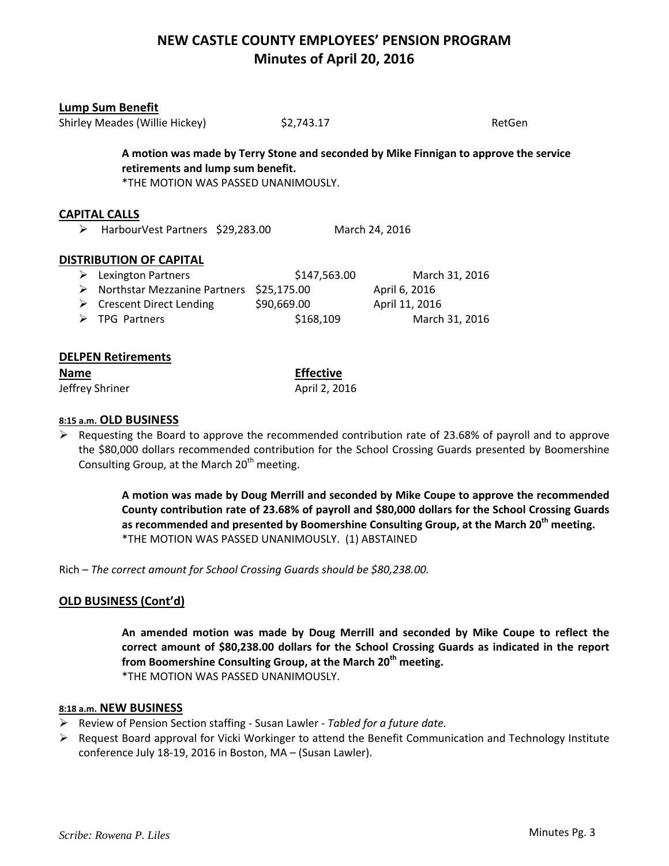| <b>Lump Sum Benefit</b><br>Shirley Meades (Willie Hickey)                                                                                                         |                                          | \$2,743.17   |                | RetGen |  |
|-------------------------------------------------------------------------------------------------------------------------------------------------------------------|------------------------------------------|--------------|----------------|--------|--|
| A motion was made by Terry Stone and seconded by Mike Finnigan to approve the service<br>retirements and lump sum benefit.<br>*THE MOTION WAS PASSED UNANIMOUSLY. |                                          |              |                |        |  |
| <b>CAPITAL CALLS</b><br>➤                                                                                                                                         | HarbourVest Partners \$29,283.00         |              | March 24, 2016 |        |  |
| <b>DISTRIBUTION OF CAPITAL</b>                                                                                                                                    |                                          |              |                |        |  |
| Lexington Partners<br>➤                                                                                                                                           |                                          | \$147,563.00 | March 31, 2016 |        |  |
| ➤                                                                                                                                                                 | Northstar Mezzanine Partners \$25,175.00 |              | April 6, 2016  |        |  |
| ➤                                                                                                                                                                 | Crescent Direct Lending                  | \$90,669.00  | April 11, 2016 |        |  |
| <b>TPG Partners</b><br>➤                                                                                                                                          |                                          | \$168,109    | March 31, 2016 |        |  |
|                                                                                                                                                                   |                                          |              |                |        |  |
| <b>DELPEN Retirements</b>                                                                                                                                         |                                          |              |                |        |  |

# **Name Effective**

Jeffrey Shriner **1988** April 2, 2016

### **8:15 a.m. OLD BUSINESS**

 $\triangleright$  Requesting the Board to approve the recommended contribution rate of 23.68% of payroll and to approve the \$80,000 dollars recommended contribution for the School Crossing Guards presented by Boomershine Consulting Group, at the March  $20<sup>th</sup>$  meeting.

> **A motion was made by Doug Merrill and seconded by Mike Coupe to approve the recommended County contribution rate of 23.68% of payroll and \$80,000 dollars for the School Crossing Guards as recommended and presented by Boomershine Consulting Group, at the March 20th meeting.** \*THE MOTION WAS PASSED UNANIMOUSLY. (1) ABSTAINED

Rich – *The correct amount for School Crossing Guards should be \$80,238.00.*

## **OLD BUSINESS (Cont'd)**

**An amended motion was made by Doug Merrill and seconded by Mike Coupe to reflect the correct amount of \$80,238.00 dollars for the School Crossing Guards as indicated in the report from Boomershine Consulting Group, at the March 20th meeting.** \*THE MOTION WAS PASSED UNANIMOUSLY.

### **8:18 a.m. NEW BUSINESS**

- Review of Pension Section staffing ‐ Susan Lawler ‐ *Tabled for a future date.*
- $\triangleright$  Request Board approval for Vicki Workinger to attend the Benefit Communication and Technology Institute conference July 18‐19, 2016 in Boston, MA – (Susan Lawler).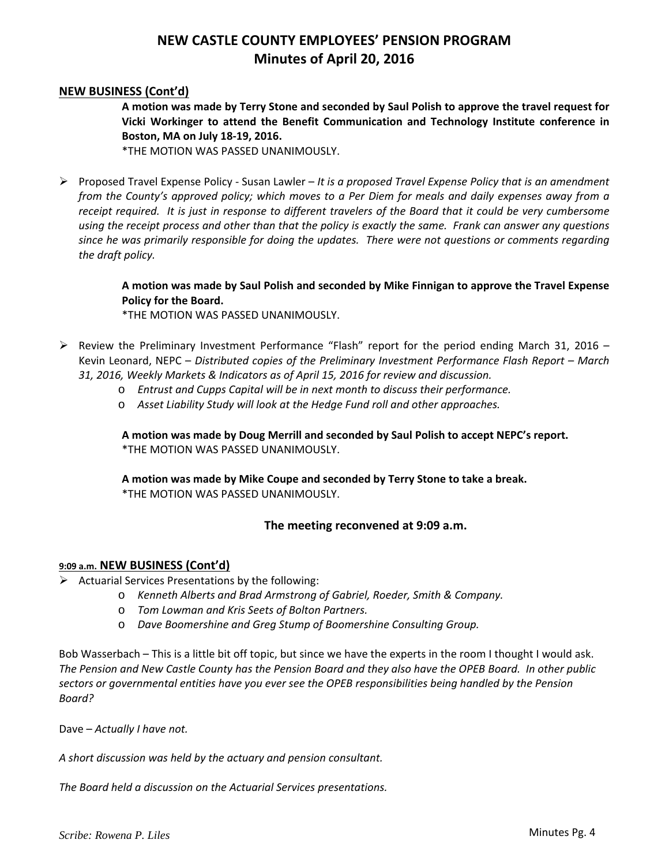#### **NEW BUSINESS (Cont'd)**

**A motion was made by Terry Stone and seconded by Saul Polish to approve the travel request for Vicki Workinger to attend the Benefit Communication and Technology Institute conference in Boston, MA on July 18‐19, 2016.**

\*THE MOTION WAS PASSED UNANIMOUSLY.

 Proposed Travel Expense Policy ‐ Susan Lawler – *It is a proposed Travel Expense Policy that is an amendment* from the County's approved policy; which moves to a Per Diem for meals and daily expenses away from a receipt required. It is just in response to different travelers of the Board that it could be very cumbersome using the receipt process and other than that the policy is exactly the same. Frank can answer any questions *since he was primarily responsible for doing the updates. There were not questions or comments regarding the draft policy.*

> **A motion was made by Saul Polish and seconded by Mike Finnigan to approve the Travel Expense Policy for the Board.**

\*THE MOTION WAS PASSED UNANIMOUSLY.

- $\triangleright$  Review the Preliminary Investment Performance "Flash" report for the period ending March 31, 2016 Kevin Leonard, NEPC – *Distributed copies of the Preliminary Investment Performance Flash Report – March 31, 2016, Weekly Markets & Indicators as of April 15, 2016 for review and discussion.* 
	- o *Entrust and Cupps Capital will be in next month to discuss their performance.*
	- o *Asset Liability Study will look at the Hedge Fund roll and other approaches.*

**A motion was made by Doug Merrill and seconded by Saul Polish to accept NEPC's report.** \*THE MOTION WAS PASSED UNANIMOUSLY.

**A motion was made by Mike Coupe and seconded by Terry Stone to take a break.** \*THE MOTION WAS PASSED UNANIMOUSLY.

#### **The meeting reconvened at 9:09 a.m.**

#### **9:09 a.m. NEW BUSINESS (Cont'd)**

- $\triangleright$  Actuarial Services Presentations by the following:
	- o *Kenneth Alberts and Brad Armstrong of Gabriel, Roeder, Smith & Company.*
	- o *Tom Lowman and Kris Seets of Bolton Partners.*
	- o *Dave Boomershine and Greg Stump of Boomershine Consulting Group.*

Bob Wasserbach – This is a little bit off topic, but since we have the experts in the room I thought I would ask. The Pension and New Castle County has the Pension Board and they also have the OPEB Board. In other public *sectors or governmental entities have you ever see the OPEB responsibilities being handled by the Pension Board?*

Dave – *Actually I have not.*

*A short discussion was held by the actuary and pension consultant.*

*The Board held a discussion on the Actuarial Services presentations.*